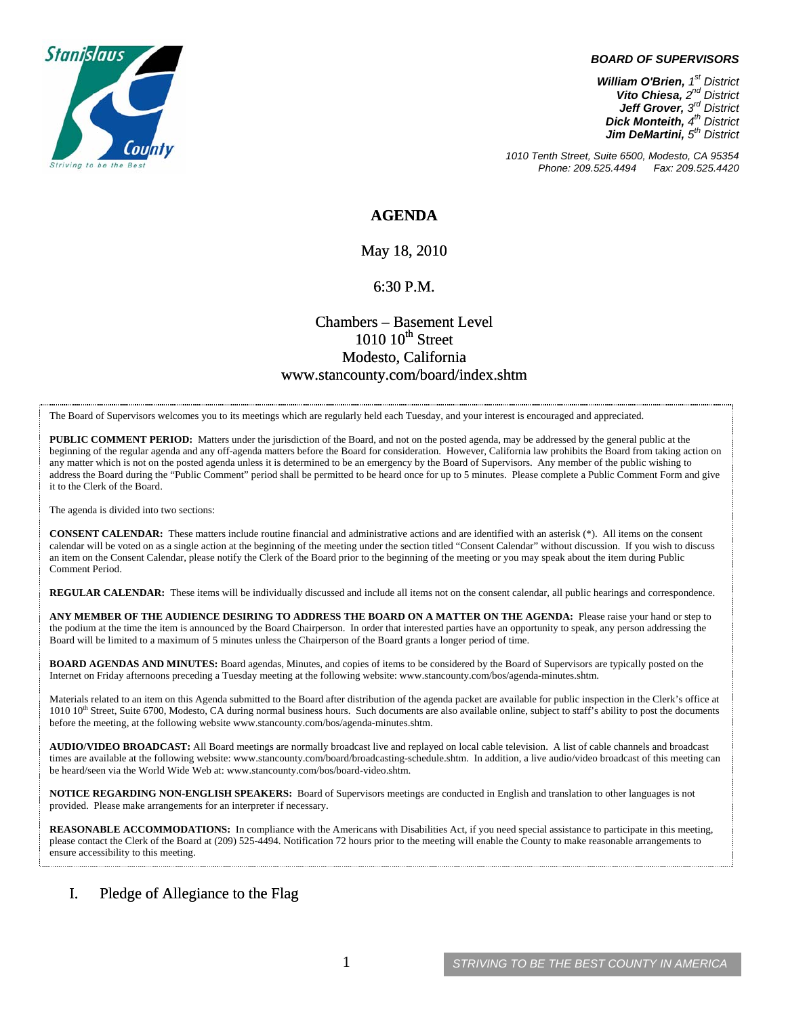

#### *BOARD OF SUPERVISORS*

*William O'Brien, 1st District Vito Chiesa, 2nd District Jeff Grover, 3rd District Dick Monteith, 4th District Jim DeMartini, 5th District*

*1010 Tenth Street, Suite 6500, Modesto, CA 95354 Phone: 209.525.4494* 

## **AGENDA**

May 18, 2010

#### 6:30 P.M.

# Chambers – Basement Level  $1010~10$ <sup>th</sup> Street Modesto, California www.stancounty.com/board/index.shtm

The Board of Supervisors welcomes you to its meetings which are regularly held each Tuesday, and your interest is encouraged and appreciated.

**PUBLIC COMMENT PERIOD:** Matters under the jurisdiction of the Board, and not on the posted agenda, may be addressed by the general public at the beginning of the regular agenda and any off-agenda matters before the Board for consideration. However, California law prohibits the Board from taking action on any matter which is not on the posted agenda unless it is determined to be an emergency by the Board of Supervisors. Any member of the public wishing to address the Board during the "Public Comment" period shall be permitted to be heard once for up to 5 minutes. Please complete a Public Comment Form and give it to the Clerk of the Board.

The agenda is divided into two sections:

**CONSENT CALENDAR:** These matters include routine financial and administrative actions and are identified with an asterisk (\*). All items on the consent calendar will be voted on as a single action at the beginning of the meeting under the section titled "Consent Calendar" without discussion. If you wish to discuss an item on the Consent Calendar, please notify the Clerk of the Board prior to the beginning of the meeting or you may speak about the item during Public Comment Period.

**REGULAR CALENDAR:** These items will be individually discussed and include all items not on the consent calendar, all public hearings and correspondence.

**ANY MEMBER OF THE AUDIENCE DESIRING TO ADDRESS THE BOARD ON A MATTER ON THE AGENDA:** Please raise your hand or step to the podium at the time the item is announced by the Board Chairperson. In order that interested parties have an opportunity to speak, any person addressing the Board will be limited to a maximum of 5 minutes unless the Chairperson of the Board grants a longer period of time.

**BOARD AGENDAS AND MINUTES:** Board agendas, Minutes, and copies of items to be considered by the Board of Supervisors are typically posted on the Internet on Friday afternoons preceding a Tuesday meeting at the following website: www.stancounty.com/bos/agenda-minutes.shtm.

Materials related to an item on this Agenda submitted to the Board after distribution of the agenda packet are available for public inspection in the Clerk's office at 1010 10<sup>th</sup> Street, Suite 6700, Modesto, CA during normal business hours. Such documents are also available online, subject to staff's ability to post the documents before the meeting, at the following website www.stancounty.com/bos/agenda-minutes.shtm.

**AUDIO/VIDEO BROADCAST:** All Board meetings are normally broadcast live and replayed on local cable television. A list of cable channels and broadcast times are available at the following website: www.stancounty.com/board/broadcasting-schedule.shtm. In addition, a live audio/video broadcast of this meeting can be heard/seen via the World Wide Web at: www.stancounty.com/bos/board-video.shtm.

**NOTICE REGARDING NON-ENGLISH SPEAKERS:** Board of Supervisors meetings are conducted in English and translation to other languages is not provided. Please make arrangements for an interpreter if necessary.

**REASONABLE ACCOMMODATIONS:** In compliance with the Americans with Disabilities Act, if you need special assistance to participate in this meeting, please contact the Clerk of the Board at (209) 525-4494. Notification 72 hours prior to the meeting will enable the County to make reasonable arrangements to ensure accessibility to this meeting.

### I. Pledge of Allegiance to the Flag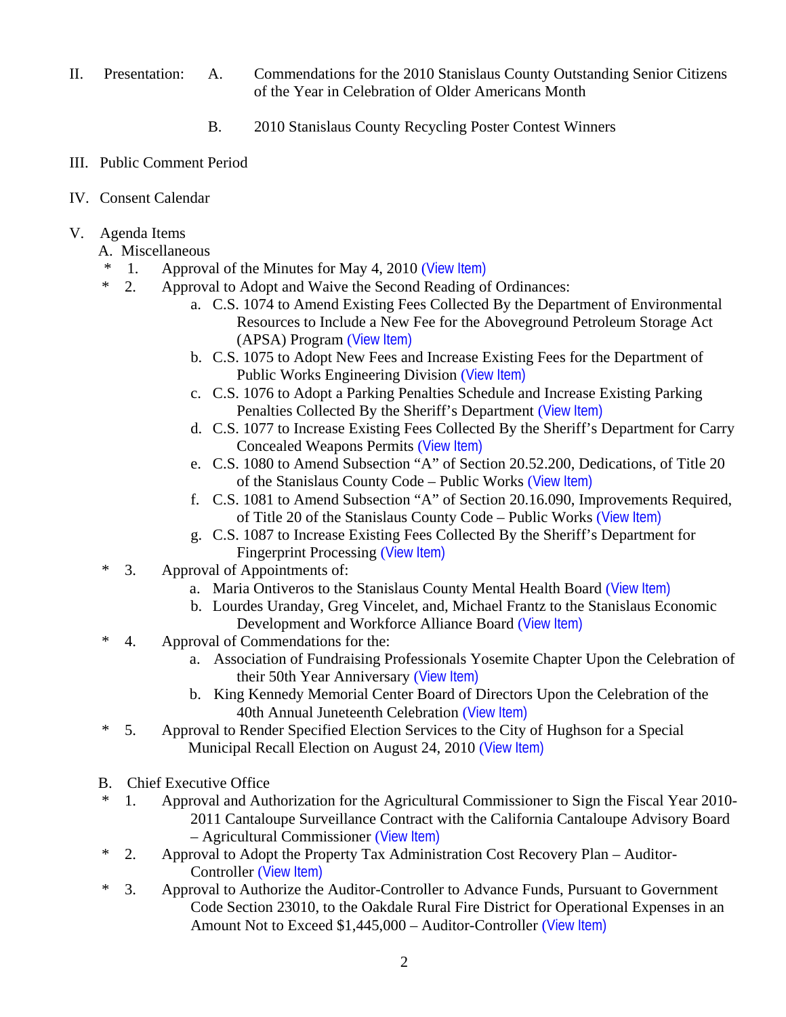- II. Presentation: A. Commendations for the 2010 Stanislaus County Outstanding Senior Citizens of the Year in Celebration of Older Americans Month
	- B. 2010 Stanislaus County Recycling Poster Contest Winners
- III. Public Comment Period
- IV. Consent Calendar
- V. Agenda Items
	- A. Miscellaneous
	- \* 1. Approval of the Minutes for May 4, 2010 ([View Item\)](http://www.stancounty.com/bos/minutes/2010/min05-04-10.pdf)
	- \* 2. Approval to Adopt and Waive the Second Reading of Ordinances:
		- a. C.S. 1074 to Amend Existing Fees Collected By the Department of Environmental Resources to Include a New Fee for the Aboveground Petroleum Storage Act (APSA) Program ([View Item\)](http://www.stancounty.com/bos/agenda/2010/20100518/A02a.pdf)
		- b. C.S. 1075 to Adopt New Fees and Increase Existing Fees for the Department of Public Works Engineering Division ([View Item\)](http://www.stancounty.com/bos/agenda/2010/20100518/A02b.pdf)
		- c. C.S. 1076 to Adopt a Parking Penalties Schedule and Increase Existing Parking Penalties Collected By the Sheriff's Department ([View Item\)](http://www.stancounty.com/bos/agenda/2010/20100518/A02c.pdf)
		- d. C.S. 1077 to Increase Existing Fees Collected By the Sheriff's Department for Carry Concealed Weapons Permits ([View Item\)](http://www.stancounty.com/bos/agenda/2010/20100518/A02d.pdf)
		- e. C.S. 1080 to Amend Subsection "A" of Section 20.52.200, Dedications, of Title 20 of the Stanislaus County Code – Public Works ([View Item\)](http://www.stancounty.com/bos/agenda/2010/20100518/A02e.pdf)
		- f. C.S. 1081 to Amend Subsection "A" of Section 20.16.090, Improvements Required, of Title 20 of the Stanislaus County Code – Public Works ([View Item\)](http://www.stancounty.com/bos/agenda/2010/20100518/A02f.pdf)
		- g. C.S. 1087 to Increase Existing Fees Collected By the Sheriff's Department for Fingerprint Processing ([View Item\)](http://www.stancounty.com/bos/agenda/2010/20100518/A02g.pdf)
	- \* 3. Approval of Appointments of:
		- a. Maria Ontiveros to the Stanislaus County Mental Health Board ([View Item\)](http://www.stancounty.com/bos/agenda/2010/20100518/A03a.pdf)
			- b. Lourdes Uranday, Greg Vincelet, and, Michael Frantz to the Stanislaus Economic Development and Workforce Alliance Board ([View Item\)](http://www.stancounty.com/bos/agenda/2010/20100518/A03b.pdf)
	- \* 4. Approval of Commendations for the:
		- a. Association of Fundraising Professionals Yosemite Chapter Upon the Celebration of their 50th Year Anniversary ([View Item\)](http://www.stancounty.com/bos/agenda/2010/20100518/A04a.pdf)
		- b. King Kennedy Memorial Center Board of Directors Upon the Celebration of the 40th Annual Juneteenth Celebration ([View Item\)](http://www.stancounty.com/bos/agenda/2010/20100518/A04b.pdf)
	- \* 5. Approval to Render Specified Election Services to the City of Hughson for a Special Municipal Recall Election on August 24, 2010 ([View Item\)](http://www.stancounty.com/bos/agenda/2010/20100518/A05.pdf)
	- B. Chief Executive Office
	- \* 1. Approval and Authorization for the Agricultural Commissioner to Sign the Fiscal Year 2010- 2011 Cantaloupe Surveillance Contract with the California Cantaloupe Advisory Board – Agricultural Commissioner ([View Item\)](http://www.stancounty.com/bos/agenda/2010/20100518/B01.pdf)
	- \* 2. Approval to Adopt the Property Tax Administration Cost Recovery Plan Auditor-Controller ([View Item\)](http://www.stancounty.com/bos/agenda/2010/20100518/B02.pdf)
	- \* 3. Approval to Authorize the Auditor-Controller to Advance Funds, Pursuant to Government Code Section 23010, to the Oakdale Rural Fire District for Operational Expenses in an Amount Not to Exceed \$1,445,000 – Auditor-Controller ([View Item\)](http://www.stancounty.com/bos/agenda/2010/20100518/B03.pdf)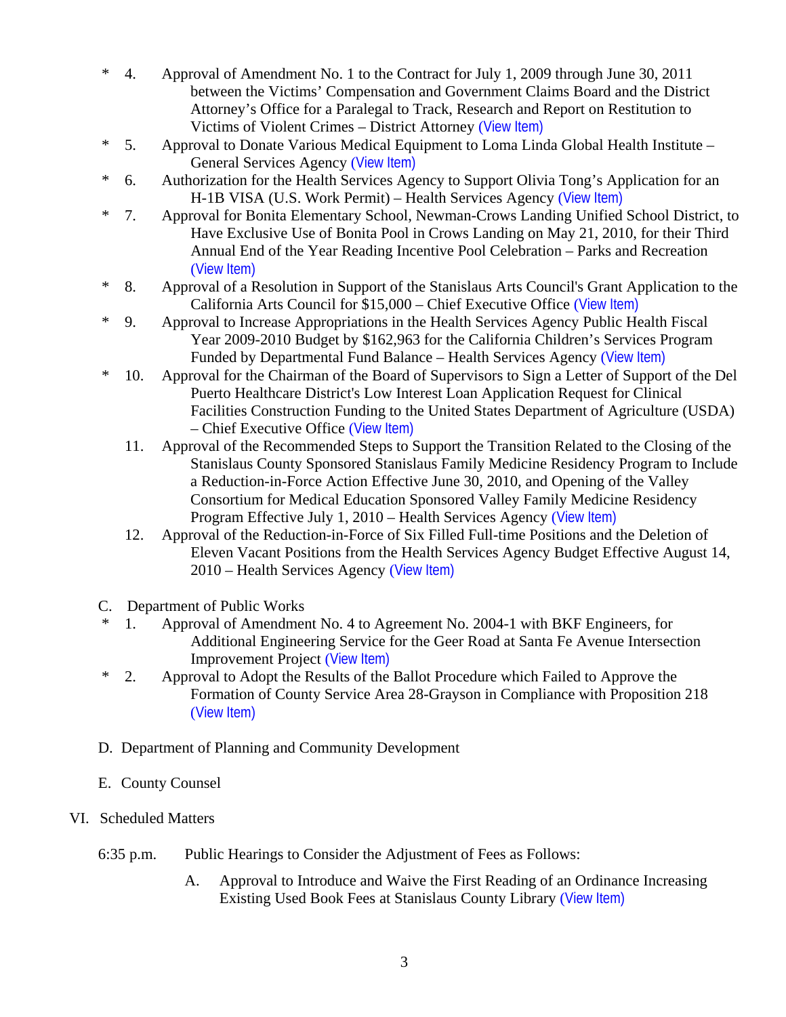- \* 4. Approval of Amendment No. 1 to the Contract for July 1, 2009 through June 30, 2011 between the Victims' Compensation and Government Claims Board and the District Attorney's Office for a Paralegal to Track, Research and Report on Restitution to Victims of Violent Crimes – District Attorney ([View Item\)](http://www.stancounty.com/bos/agenda/2010/20100518/B04.pdf)
- \* 5. Approval to Donate Various Medical Equipment to Loma Linda Global Health Institute General Services Agency ([View Item\)](http://www.stancounty.com/bos/agenda/2010/20100518/B05.pdf)
- \* 6. Authorization for the Health Services Agency to Support Olivia Tong's Application for an H-1B VISA (U.S. Work Permit) – Health Services Agency ([View Item\)](http://www.stancounty.com/bos/agenda/2010/20100518/B06.pdf)
- \* 7. Approval for Bonita Elementary School, Newman-Crows Landing Unified School District, to Have Exclusive Use of Bonita Pool in Crows Landing on May 21, 2010, for their Third Annual End of the Year Reading Incentive Pool Celebration – Parks and Recreation ([View Item\)](http://www.stancounty.com/bos/agenda/2010/20100518/B07.pdf)
- \* 8. Approval of a Resolution in Support of the Stanislaus Arts Council's Grant Application to the California Arts Council for \$15,000 – Chief Executive Office ([View Item\)](http://www.stancounty.com/bos/agenda/2010/20100518/B08.pdf)
- \* 9. Approval to Increase Appropriations in the Health Services Agency Public Health Fiscal Year 2009-2010 Budget by \$162,963 for the California Children's Services Program Funded by Departmental Fund Balance – Health Services Agency ([View Item\)](http://www.stancounty.com/bos/agenda/2010/20100518/B09.pdf)
- \* 10. Approval for the Chairman of the Board of Supervisors to Sign a Letter of Support of the Del Puerto Healthcare District's Low Interest Loan Application Request for Clinical Facilities Construction Funding to the United States Department of Agriculture (USDA) – Chief Executive Office ([View Item\)](http://www.stancounty.com/bos/agenda/2010/20100518/B10.pdf)
	- 11. Approval of the Recommended Steps to Support the Transition Related to the Closing of the Stanislaus County Sponsored Stanislaus Family Medicine Residency Program to Include a Reduction-in-Force Action Effective June 30, 2010, and Opening of the Valley Consortium for Medical Education Sponsored Valley Family Medicine Residency Program Effective July 1, 2010 – Health Services Agency ([View Item\)](http://www.stancounty.com/bos/agenda/2010/20100518/B11.pdf)
	- 12. Approval of the Reduction-in-Force of Six Filled Full-time Positions and the Deletion of Eleven Vacant Positions from the Health Services Agency Budget Effective August 14, 2010 – Health Services Agency ([View Item\)](http://www.stancounty.com/bos/agenda/2010/20100518/B12.pdf)
- C. Department of Public Works
- \* 1. Approval of Amendment No. 4 to Agreement No. 2004-1 with BKF Engineers, for Additional Engineering Service for the Geer Road at Santa Fe Avenue Intersection Improvement Project ([View Item\)](http://www.stancounty.com/bos/agenda/2010/20100518/C01.pdf)
- \* 2. Approval to Adopt the Results of the Ballot Procedure which Failed to Approve the Formation of County Service Area 28-Grayson in Compliance with Proposition 218 ([View Item\)](http://www.stancounty.com/bos/agenda/2010/20100518/C02.pdf)
- D. Department of Planning and Community Development
- E. County Counsel
- VI. Scheduled Matters
	- 6:35 p.m. Public Hearings to Consider the Adjustment of Fees as Follows:
		- A. Approval to Introduce and Waive the First Reading of an Ordinance Increasing Existing Used Book Fees at Stanislaus County Library ([View Item\)](http://www.stancounty.com/bos/agenda/2010/20100518/PH635a.pdf)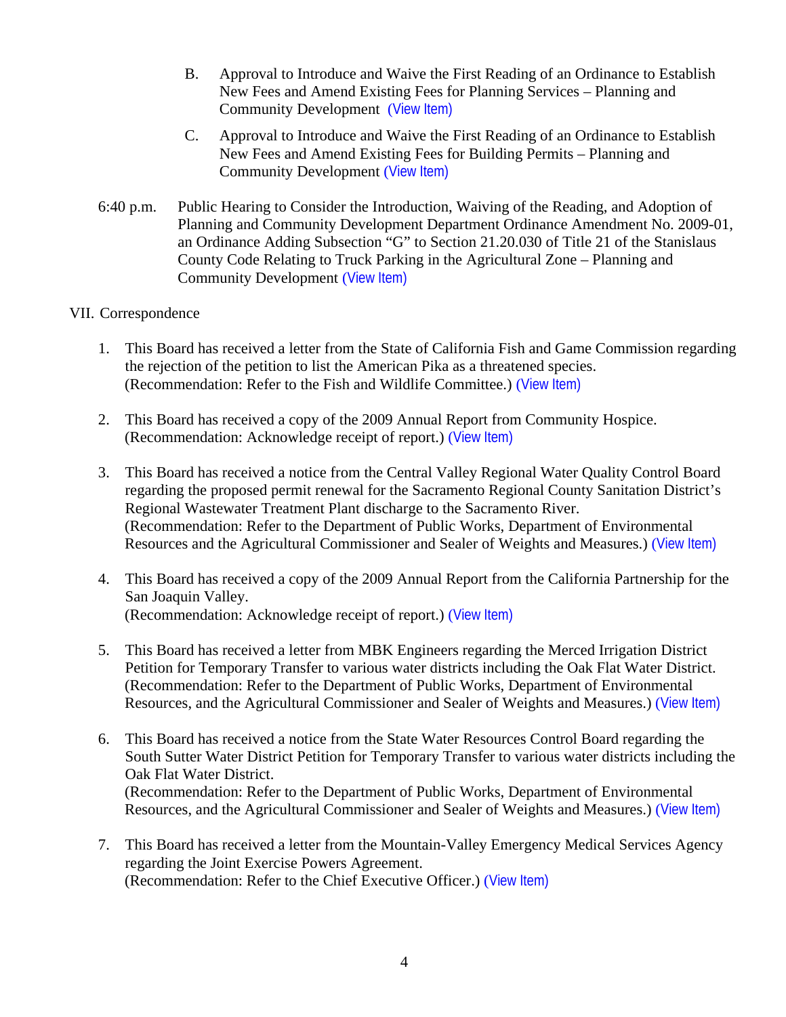- B. Approval to Introduce and Waive the First Reading of an Ordinance to Establish New Fees and Amend Existing Fees for Planning Services – Planning and Community Development ([View Item\)](http://www.stancounty.com/bos/agenda/2010/20100518/PH635b.pdf)
- C. Approval to Introduce and Waive the First Reading of an Ordinance to Establish New Fees and Amend Existing Fees for Building Permits – Planning and Community Development ([View Item\)](http://www.stancounty.com/bos/agenda/2010/20100518/PH635c.pdf)
- 6:40 p.m. Public Hearing to Consider the Introduction, Waiving of the Reading, and Adoption of Planning and Community Development Department Ordinance Amendment No. 2009-01, an Ordinance Adding Subsection "G" to Section 21.20.030 of Title 21 of the Stanislaus County Code Relating to Truck Parking in the Agricultural Zone – Planning and Community Development ([View Item\)](http://www.stancounty.com/bos/agenda/2010/20100518/PH640.pdf)

# VII. Correspondence

- 1. This Board has received a letter from the State of California Fish and Game Commission regarding the rejection of the petition to list the American Pika as a threatened species. (Recommendation: Refer to the Fish and Wildlife Committee.) ([View Item\)](http://www.stancounty.com/bos/agenda/2010/20100518/Corr01.pdf)
- 2. This Board has received a copy of the 2009 Annual Report from Community Hospice. (Recommendation: Acknowledge receipt of report.) ([View Item\)](http://www.stancounty.com/bos/agenda/2010/20100518/Corr02.pdf)
- 3. This Board has received a notice from the Central Valley Regional Water Quality Control Board regarding the proposed permit renewal for the Sacramento Regional County Sanitation District's Regional Wastewater Treatment Plant discharge to the Sacramento River. (Recommendation: Refer to the Department of Public Works, Department of Environmental Resources and the Agricultural Commissioner and Sealer of Weights and Measures.) ([View Item\)](http://www.stancounty.com/bos/agenda/2010/20100518/Corr03.pdf)
- 4. This Board has received a copy of the 2009 Annual Report from the California Partnership for the San Joaquin Valley. (Recommendation: Acknowledge receipt of report.) ([View Item\)](http://www.stancounty.com/bos/agenda/2010/20100518/Corr04.pdf)
- 5. This Board has received a letter from MBK Engineers regarding the Merced Irrigation District Petition for Temporary Transfer to various water districts including the Oak Flat Water District. (Recommendation: Refer to the Department of Public Works, Department of Environmental Resources, and the Agricultural Commissioner and Sealer of Weights and Measures.) ([View Item\)](http://www.stancounty.com/bos/agenda/2010/20100518/Corr05.pdf)
- 6. This Board has received a notice from the State Water Resources Control Board regarding the South Sutter Water District Petition for Temporary Transfer to various water districts including the Oak Flat Water District. (Recommendation: Refer to the Department of Public Works, Department of Environmental Resources, and the Agricultural Commissioner and Sealer of Weights and Measures.) ([View Item\)](http://www.stancounty.com/bos/agenda/2010/20100518/Corr06.pdf)
- 7. This Board has received a letter from the Mountain-Valley Emergency Medical Services Agency regarding the Joint Exercise Powers Agreement. (Recommendation: Refer to the Chief Executive Officer.) ([View Item\)](http://www.stancounty.com/bos/agenda/2010/20100518/Corr07.pdf)